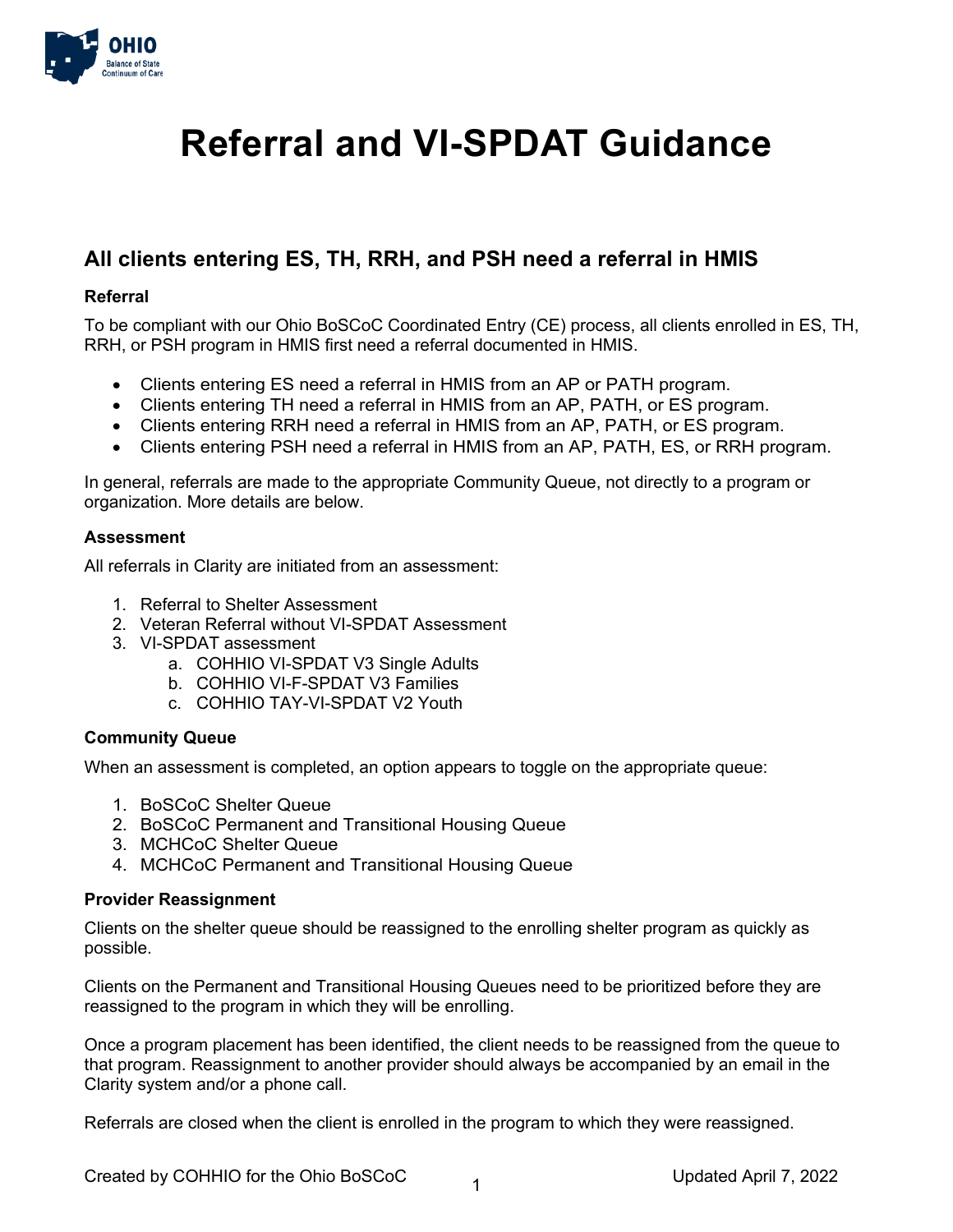

# **Referral and VI-SPDAT Guidance**

## **All clients entering ES, TH, RRH, and PSH need a referral in HMIS**

## **Referral**

To be compliant with our Ohio BoSCoC Coordinated Entry (CE) process, all clients enrolled in ES, TH, RRH, or PSH program in HMIS first need a referral documented in HMIS.

- Clients entering ES need a referral in HMIS from an AP or PATH program.
- Clients entering TH need a referral in HMIS from an AP, PATH, or ES program.
- Clients entering RRH need a referral in HMIS from an AP, PATH, or ES program.
- Clients entering PSH need a referral in HMIS from an AP, PATH, ES, or RRH program.

In general, referrals are made to the appropriate Community Queue, not directly to a program or organization. More details are below.

### **Assessment**

All referrals in Clarity are initiated from an assessment:

- 1. Referral to Shelter Assessment
- 2. Veteran Referral without VI-SPDAT Assessment
- 3. VI-SPDAT assessment
	- a. COHHIO VI-SPDAT V3 Single Adults
	- b. COHHIO VI-F-SPDAT V3 Families
	- c. COHHIO TAY-VI-SPDAT V2 Youth

### **Community Queue**

When an assessment is completed, an option appears to toggle on the appropriate queue:

- 1. BoSCoC Shelter Queue
- 2. BoSCoC Permanent and Transitional Housing Queue
- 3. MCHCoC Shelter Queue
- 4. MCHCoC Permanent and Transitional Housing Queue

### **Provider Reassignment**

Clients on the shelter queue should be reassigned to the enrolling shelter program as quickly as possible.

Clients on the Permanent and Transitional Housing Queues need to be prioritized before they are reassigned to the program in which they will be enrolling.

Once a program placement has been identified, the client needs to be reassigned from the queue to that program. Reassignment to another provider should always be accompanied by an email in the Clarity system and/or a phone call.

Referrals are closed when the client is enrolled in the program to which they were reassigned.